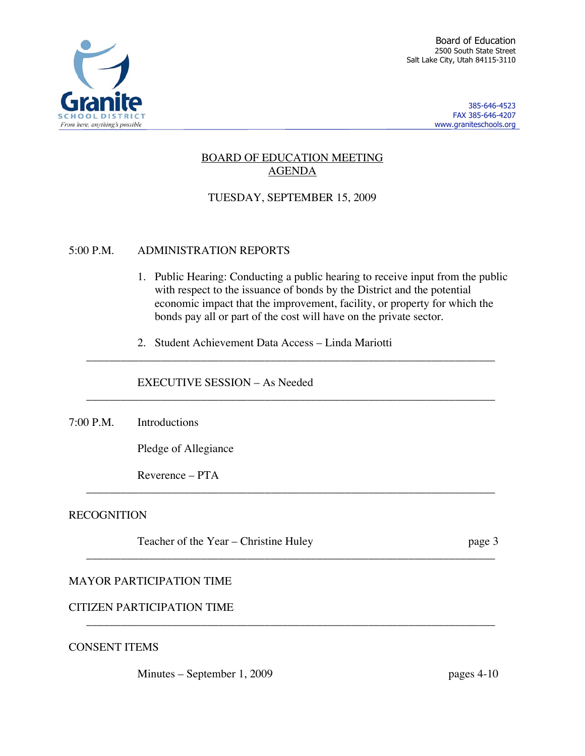

385-646-4523 FAX 385-646-4207 www.graniteschools.org

# BOARD OF EDUCATION MEETING AGENDA

# TUESDAY, SEPTEMBER 15, 2009

#### 5:00 P.M. ADMINISTRATION REPORTS

- 1. Public Hearing: Conducting a public hearing to receive input from the public with respect to the issuance of bonds by the District and the potential economic impact that the improvement, facility, or property for which the bonds pay all or part of the cost will have on the private sector.
- 2. Student Achievement Data Access Linda Mariotti

\_\_\_\_\_\_\_\_\_\_\_\_\_\_\_\_\_\_\_\_\_\_\_\_\_\_\_\_\_\_\_\_\_\_\_\_\_\_\_\_\_\_\_\_\_\_\_\_\_\_\_\_\_\_\_\_\_\_\_\_\_\_\_\_\_\_\_\_\_\_\_

\_\_\_\_\_\_\_\_\_\_\_\_\_\_\_\_\_\_\_\_\_\_\_\_\_\_\_\_\_\_\_\_\_\_\_\_\_\_\_\_\_\_\_\_\_\_\_\_\_\_\_\_\_\_\_\_\_\_\_\_\_\_\_\_\_\_\_\_\_\_\_

\_\_\_\_\_\_\_\_\_\_\_\_\_\_\_\_\_\_\_\_\_\_\_\_\_\_\_\_\_\_\_\_\_\_\_\_\_\_\_\_\_\_\_\_\_\_\_\_\_\_\_\_\_\_\_\_\_\_\_\_\_\_\_\_\_\_\_\_\_\_\_

\_\_\_\_\_\_\_\_\_\_\_\_\_\_\_\_\_\_\_\_\_\_\_\_\_\_\_\_\_\_\_\_\_\_\_\_\_\_\_\_\_\_\_\_\_\_\_\_\_\_\_\_\_\_\_\_\_\_\_\_\_\_\_\_\_\_\_\_\_\_\_

\_\_\_\_\_\_\_\_\_\_\_\_\_\_\_\_\_\_\_\_\_\_\_\_\_\_\_\_\_\_\_\_\_\_\_\_\_\_\_\_\_\_\_\_\_\_\_\_\_\_\_\_\_\_\_\_\_\_\_\_\_\_\_\_\_\_\_\_\_\_\_

#### EXECUTIVE SESSION – As Needed

7:00 P.M. Introductions

Pledge of Allegiance

Reverence – PTA

#### **RECOGNITION**

Teacher of the Year – Christine Huley page 3

#### MAYOR PARTICIPATION TIME

CITIZEN PARTICIPATION TIME

CONSENT ITEMS

Minutes – September 1, 2009 pages 4-10